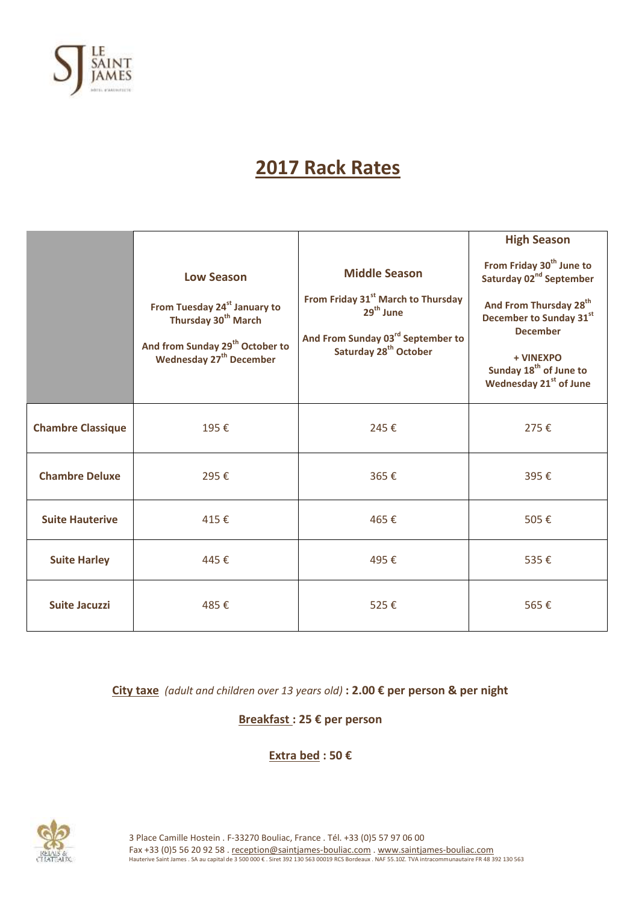

# **2017 Rack Rates**

|                          |                                                                                                                                                              |                                                                                                                                                               | <b>High Season</b>                                                                                                                                                        |
|--------------------------|--------------------------------------------------------------------------------------------------------------------------------------------------------------|---------------------------------------------------------------------------------------------------------------------------------------------------------------|---------------------------------------------------------------------------------------------------------------------------------------------------------------------------|
|                          | <b>Low Season</b>                                                                                                                                            | <b>Middle Season</b>                                                                                                                                          | From Friday 30 <sup>th</sup> June to<br>Saturday 02 <sup>nd</sup> September                                                                                               |
|                          | From Tuesday 24 <sup>st</sup> January to<br>Thursday 30 <sup>th</sup> March<br>And from Sunday 29 <sup>th</sup> October to<br><b>Wednesday 27th December</b> | From Friday 31 <sup>st</sup> March to Thursday<br>29 <sup>th</sup> June<br>And From Sunday 03 <sup>rd</sup> September to<br>Saturday 28 <sup>th</sup> October | And From Thursday 28 <sup>th</sup><br>December to Sunday 31st<br><b>December</b><br>+ VINEXPO<br>Sunday 18 <sup>th</sup> of June to<br>Wednesday 21 <sup>st</sup> of June |
| <b>Chambre Classique</b> | 195€                                                                                                                                                         | 245€                                                                                                                                                          | 275€                                                                                                                                                                      |
| <b>Chambre Deluxe</b>    | 295€                                                                                                                                                         | 365€                                                                                                                                                          | 395€                                                                                                                                                                      |
| <b>Suite Hauterive</b>   | 415€                                                                                                                                                         | 465€                                                                                                                                                          | 505€                                                                                                                                                                      |
| <b>Suite Harley</b>      | 445€                                                                                                                                                         | 495€                                                                                                                                                          | 535€                                                                                                                                                                      |
| <b>Suite Jacuzzi</b>     | 485€                                                                                                                                                         | 525€                                                                                                                                                          | 565€                                                                                                                                                                      |

**City taxe** *(adult and children over 13 years old)* **: 2.00 € per person & per night**

**Breakfast : 25 € per person**

**Extra bed : 50 €**